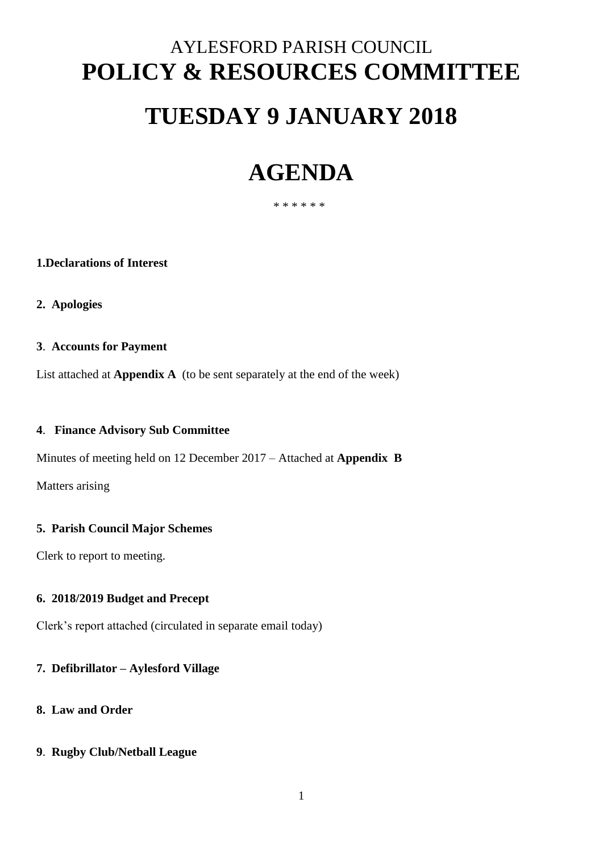# AYLESFORD PARISH COUNCIL **POLICY & RESOURCES COMMITTEE TUESDAY 9 JANUARY 2018**

## **AGENDA**

\* \* \* \* \* \*

#### **1.Declarations of Interest**

**2. Apologies**

#### **3**. **Accounts for Payment**

List attached at **Appendix A** (to be sent separately at the end of the week)

#### **4**. **Finance Advisory Sub Committee**

Minutes of meeting held on 12 December 2017 – Attached at **Appendix B**

Matters arising

#### **5. Parish Council Major Schemes**

Clerk to report to meeting.

#### **6. 2018/2019 Budget and Precept**

Clerk's report attached (circulated in separate email today)

#### **7. Defibrillator – Aylesford Village**

#### **8. Law and Order**

#### **9**. **Rugby Club/Netball League**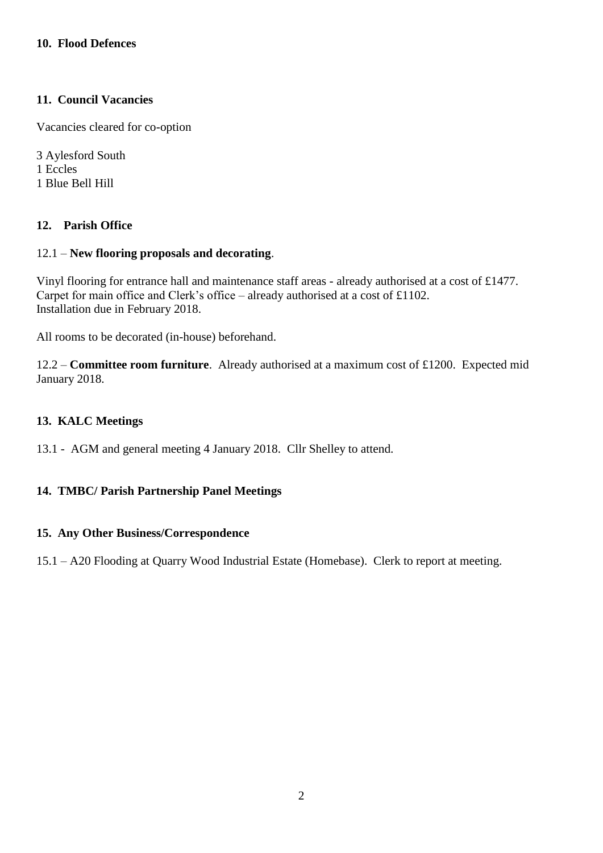#### **11. Council Vacancies**

Vacancies cleared for co-option

3 Aylesford South 1 Eccles 1 Blue Bell Hill

#### **12. Parish Office**

#### 12.1 – **New flooring proposals and decorating**.

Vinyl flooring for entrance hall and maintenance staff areas - already authorised at a cost of £1477. Carpet for main office and Clerk's office – already authorised at a cost of £1102. Installation due in February 2018.

All rooms to be decorated (in-house) beforehand.

12.2 – **Committee room furniture**. Already authorised at a maximum cost of £1200. Expected mid January 2018.

#### **13. KALC Meetings**

13.1 - AGM and general meeting 4 January 2018. Cllr Shelley to attend.

#### **14. TMBC/ Parish Partnership Panel Meetings**

#### **15. Any Other Business/Correspondence**

15.1 – A20 Flooding at Quarry Wood Industrial Estate (Homebase). Clerk to report at meeting.